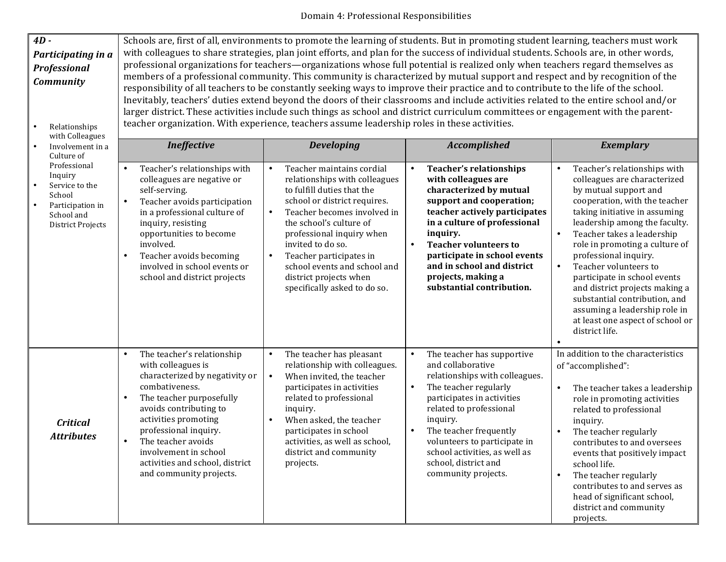## Domain 4: Professional Responsibilities

| $4D -$                                         | Schools are, first of all, environments to promote the learning of students. But in promoting student learning, teachers must work     |                                                            |                                                     |                                                                    |  |  |
|------------------------------------------------|----------------------------------------------------------------------------------------------------------------------------------------|------------------------------------------------------------|-----------------------------------------------------|--------------------------------------------------------------------|--|--|
| Participating in a                             | with colleagues to share strategies, plan joint efforts, and plan for the success of individual students. Schools are, in other words, |                                                            |                                                     |                                                                    |  |  |
| <b>Professional</b>                            | professional organizations for teachers—organizations whose full potential is realized only when teachers regard themselves as         |                                                            |                                                     |                                                                    |  |  |
| <b>Community</b>                               | members of a professional community. This community is characterized by mutual support and respect and by recognition of the           |                                                            |                                                     |                                                                    |  |  |
|                                                | responsibility of all teachers to be constantly seeking ways to improve their practice and to contribute to the life of the school.    |                                                            |                                                     |                                                                    |  |  |
|                                                | Inevitably, teachers' duties extend beyond the doors of their classrooms and include activities related to the entire school and/or    |                                                            |                                                     |                                                                    |  |  |
|                                                | larger district. These activities include such things as school and district curriculum committees or engagement with the parent-      |                                                            |                                                     |                                                                    |  |  |
| Relationships                                  | teacher organization. With experience, teachers assume leadership roles in these activities.                                           |                                                            |                                                     |                                                                    |  |  |
| with Colleagues                                |                                                                                                                                        |                                                            |                                                     |                                                                    |  |  |
| Involvement in a<br>Culture of<br>Professional | <b>Ineffective</b>                                                                                                                     | <b>Developing</b>                                          | <b>Accomplished</b>                                 | <b>Exemplary</b>                                                   |  |  |
|                                                | Teacher's relationships with                                                                                                           | Teacher maintains cordial<br>$\bullet$                     | <b>Teacher's relationships</b>                      | Teacher's relationships with                                       |  |  |
| Inquiry                                        | colleagues are negative or                                                                                                             | relationships with colleagues                              | with colleagues are                                 | colleagues are characterized                                       |  |  |
| Service to the                                 | self-serving.                                                                                                                          | to fulfill duties that the                                 | characterized by mutual                             | by mutual support and                                              |  |  |
| School                                         | Teacher avoids participation                                                                                                           | school or district requires.                               | support and cooperation;                            | cooperation, with the teacher                                      |  |  |
| Participation in<br>School and                 | in a professional culture of                                                                                                           | Teacher becomes involved in<br>$\bullet$                   | teacher actively participates                       | taking initiative in assuming                                      |  |  |
| <b>District Projects</b>                       | inquiry, resisting                                                                                                                     | the school's culture of                                    | in a culture of professional                        | leadership among the faculty.                                      |  |  |
|                                                | opportunities to become                                                                                                                | professional inquiry when                                  | inquiry.                                            | Teacher takes a leadership<br>$\bullet$                            |  |  |
|                                                | involved.                                                                                                                              | invited to do so.                                          | <b>Teacher volunteers to</b>                        | role in promoting a culture of                                     |  |  |
|                                                | Teacher avoids becoming<br>$\bullet$                                                                                                   | Teacher participates in<br>$\bullet$                       | participate in school events                        | professional inquiry.                                              |  |  |
|                                                | involved in school events or<br>school and district projects                                                                           | school events and school and<br>district projects when     | and in school and district<br>projects, making a    | Teacher volunteers to<br>$\bullet$<br>participate in school events |  |  |
|                                                |                                                                                                                                        | specifically asked to do so.                               | substantial contribution.                           | and district projects making a                                     |  |  |
|                                                |                                                                                                                                        |                                                            |                                                     | substantial contribution, and                                      |  |  |
|                                                |                                                                                                                                        |                                                            |                                                     | assuming a leadership role in                                      |  |  |
|                                                |                                                                                                                                        |                                                            |                                                     | at least one aspect of school or                                   |  |  |
|                                                |                                                                                                                                        |                                                            |                                                     | district life.                                                     |  |  |
|                                                |                                                                                                                                        |                                                            |                                                     |                                                                    |  |  |
|                                                | The teacher's relationship                                                                                                             | The teacher has pleasant<br>$\bullet$                      | The teacher has supportive                          | In addition to the characteristics                                 |  |  |
|                                                | with colleagues is<br>characterized by negativity or                                                                                   | relationship with colleagues.<br>When invited, the teacher | and collaborative<br>relationships with colleagues. | of "accomplished":                                                 |  |  |
|                                                | combativeness.                                                                                                                         | $\bullet$<br>participates in activities                    | The teacher regularly                               | The teacher takes a leadership<br>$\bullet$                        |  |  |
|                                                | The teacher purposefully                                                                                                               | related to professional                                    | participates in activities                          | role in promoting activities                                       |  |  |
|                                                | avoids contributing to                                                                                                                 | inquiry.                                                   | related to professional                             | related to professional                                            |  |  |
| <b>Critical</b>                                | activities promoting                                                                                                                   | When asked, the teacher                                    | inquiry.                                            | inquiry.                                                           |  |  |
| <b>Attributes</b>                              | professional inquiry.                                                                                                                  | participates in school                                     | The teacher frequently                              | The teacher regularly                                              |  |  |
|                                                | The teacher avoids<br>$\bullet$                                                                                                        | activities, as well as school,                             | volunteers to participate in                        | contributes to and oversees                                        |  |  |
|                                                | involvement in school                                                                                                                  | district and community                                     | school activities, as well as                       | events that positively impact                                      |  |  |
|                                                | activities and school, district                                                                                                        | projects.                                                  | school, district and                                | school life.                                                       |  |  |
|                                                | and community projects.                                                                                                                |                                                            | community projects.                                 | The teacher regularly                                              |  |  |
|                                                |                                                                                                                                        |                                                            |                                                     | contributes to and serves as                                       |  |  |
|                                                |                                                                                                                                        |                                                            |                                                     | head of significant school,<br>district and community              |  |  |
|                                                |                                                                                                                                        |                                                            |                                                     | projects.                                                          |  |  |
|                                                |                                                                                                                                        |                                                            |                                                     |                                                                    |  |  |